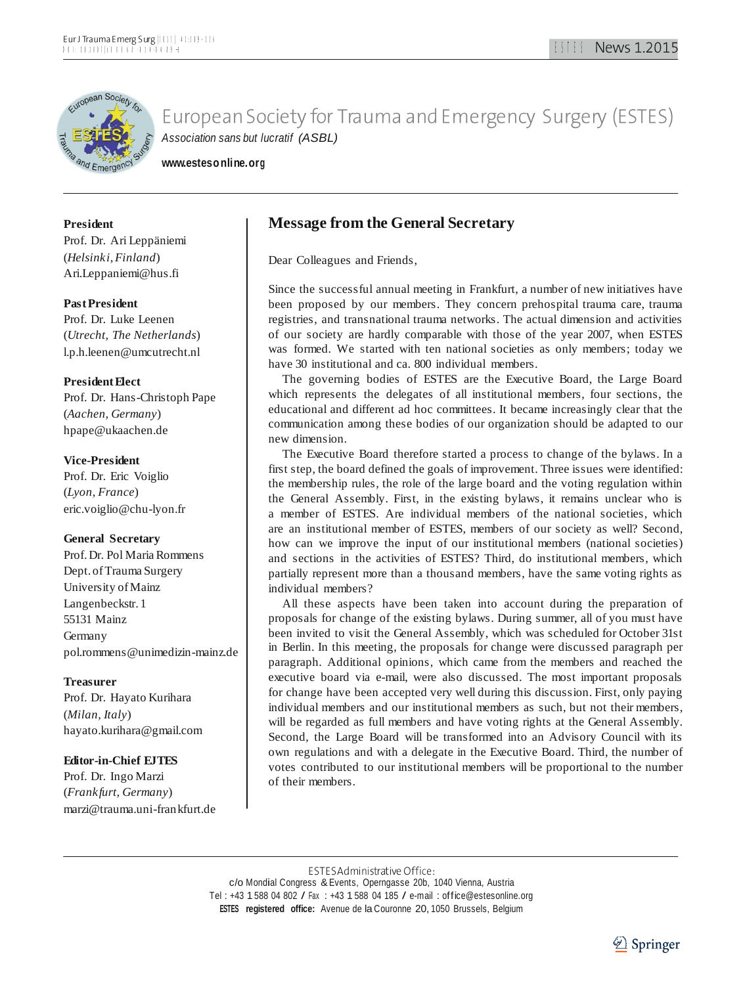

**[www.estesonline.org](http://www.estesonline.org/)**

### **President**

Prof. Dr. Ari Leppäniemi (*Helsinki,Finland*[\)](mailto:Ari.Leppaniemi@hus.fi) [Ari.Leppaniemi@hus.fi](mailto:Ari.Leppaniemi@hus.fi)

### **PastPresident**

Prof. Dr. Luke Leenen (*Utrecht, The Netherlands*[\)](mailto:l.p.h.leenen@umcutrecht.nl) [l.p.h.leenen@umcutrecht.nl](mailto:l.p.h.leenen@umcutrecht.nl)

### **President Flect**

Prof. Dr. Hans-Christoph Pape (*Aachen, Germany*[\)](mailto:hpape@ukaachen.de) [hpape@ukaachen.de](mailto:hpape@ukaachen.de)

### **Vice-President**

Prof. Dr. Eric Voiglio (*Lyon, France*[\)](mailto:eric.voiglio@chu-lyon.fr) [eric.voiglio@chu-lyon.fr](mailto:eric.voiglio@chu-lyon.fr)

### **General Secretary**

Prof.Dr. Pol Maria Rommens Dept. of Trauma Surgery University ofMainz Langenbeckstr. 1 55131 Mainz Germany [pol.rommens@unimedizin-mainz.de](mailto:pol.rommens@unimedizin-mainz.de)

### **Treasurer**

Prof. Dr. Hayato Kurihara (*Milan, Italy*[\)](mailto:hayato.kurihara@gmail.com) [hayato.kurihara@gmail.com](mailto:hayato.kurihara@gmail.com)

### **Editor-in-Chief EJTES**

Prof. Dr. Ingo Marzi (*Frankfurt, Germany*) [marzi@trauma.uni-frankfurt.de](mailto:marzi@trauma.uni-frankfurt.de)

### **Message from the General Secretary**

Dear Colleagues and Friends,

Since the successful annual meeting in Frankfurt, a number of new initiatives have been proposed by our members. They concern prehospital trauma care, trauma registries, and transnational trauma networks. The actual dimension and activities of our society are hardly comparable with those of the year 2007, when ESTES was formed. We started with ten national societies as only members; today we have 30 institutional and ca. 800 individual members.

The governing bodies of ESTES are the Executive Board, the Large Board which represents the delegates of all institutional members, four sections, the educational and different ad hoc committees. It became increasingly clear that the communication among these bodies of our organization should be adapted to our new dimension.

The Executive Board therefore started a process to change of the bylaws. In a first step, the board defined the goals of improvement. Three issues were identified: the membership rules, the role of the large board and the voting regulation within the General Assembly. First, in the existing bylaws, it remains unclear who is a member of ESTES. Are individual members of the national societies, which are an institutional member of ESTES, members of our society as well? Second, how can we improve the input of our institutional members (national societies) and sections in the activities of ESTES? Third, do institutional members, which partially represent more than a thousand members, have the same voting rights as individual members?

All these aspects have been taken into account during the preparation of proposals for change of the existing bylaws. During summer, all of you must have been invited to visit the General Assembly, which was scheduled for October 31st in Berlin. In this meeting, the proposals for change were discussed paragraph per paragraph. Additional opinions, which came from the members and reached the executive board via e-mail, were also discussed. The most important proposals for change have been accepted very well during this discussion. First, only paying individual members and our institutional members as such, but not their members, will be regarded as full members and have voting rights at the General Assembly. Second, the Large Board will be transformed into an Advisory Council with its own regulations and with a delegate in the Executive Board. Third, the number of votes contributed to our institutional members will be proportional to the number of their members.

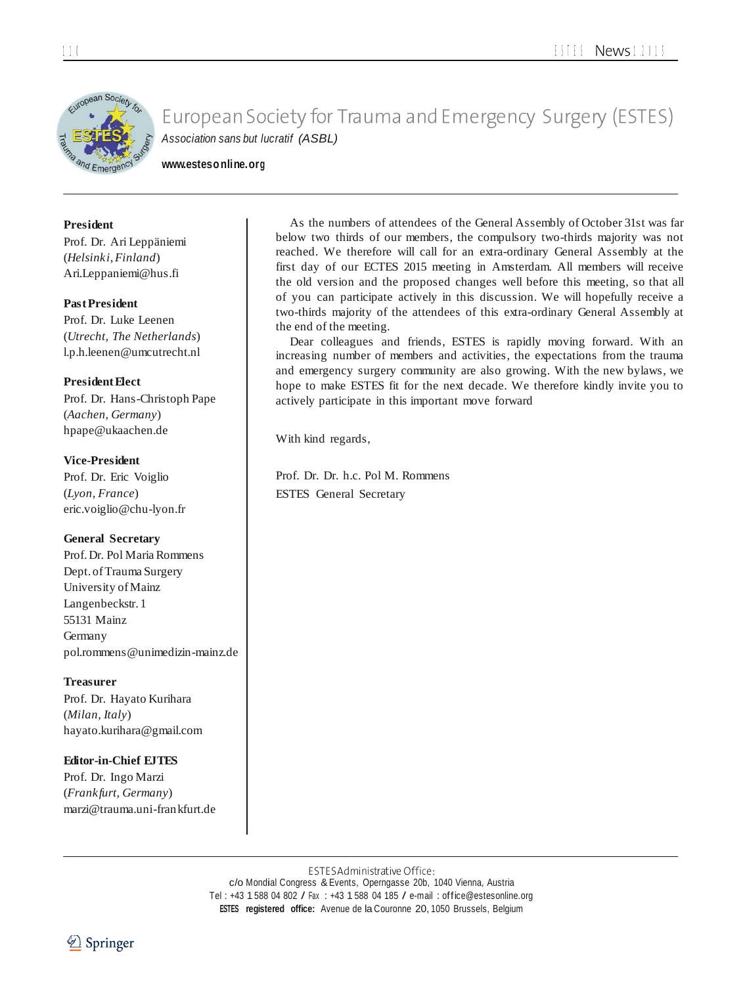

**[www.estesonline.org](http://www.estesonline.org/)**

### **President**

Prof. Dr. Ari Leppäniemi (*Helsinki,Finland*[\)](mailto:Ari.Leppaniemi@hus.fi) [Ari.Leppaniemi@hus.fi](mailto:Ari.Leppaniemi@hus.fi)

### **PastPresident**

Prof. Dr. Luke Leenen (*Utrecht, The Netherlands*[\)](mailto:l.p.h.leenen@umcutrecht.nl) [l.p.h.leenen@umcutrecht.nl](mailto:l.p.h.leenen@umcutrecht.nl)

### **President Flect**

Prof. Dr. Hans-Christoph Pape (*Aachen, Germany*[\)](mailto:hpape@ukaachen.de) [hpape@ukaachen.de](mailto:hpape@ukaachen.de)

### **Vice-President**

Prof. Dr. Eric Voiglio (*Lyon, France*[\)](mailto:eric.voiglio@chu-lyon.fr) [eric.voiglio@chu-lyon.fr](mailto:eric.voiglio@chu-lyon.fr)

### **General Secretary**

Prof.Dr. Pol Maria Rommens Dept. of Trauma Surgery University ofMainz Langenbeckstr. 1 55131 Mainz Germany [pol.rommens@unimedizin-mainz.de](mailto:pol.rommens@unimedizin-mainz.de)

### **Treasurer**

Prof. Dr. Hayato Kurihara (*Milan, Italy*[\)](mailto:hayato.kurihara@gmail.com) [hayato.kurihara@gmail.com](mailto:hayato.kurihara@gmail.com)

### **Editor-in-Chief EJTES**

Prof. Dr. Ingo Marzi (*Frankfurt, Germany*) [marzi@trauma.uni-frankfurt.de](mailto:marzi@trauma.uni-frankfurt.de)

As the numbers of attendees of the General Assembly of October 31st was far below two thirds of our members, the compulsory two-thirds majority was not reached. We therefore will call for an extra-ordinary General Assembly at the first day of our ECTES 2015 meeting in Amsterdam. All members will receive the old version and the proposed changes well before this meeting, so that all of you can participate actively in this discussion. We will hopefully receive a two-thirds majority of the attendees of this extra-ordinary General Assembly at the end of the meeting.

Dear colleagues and friends, ESTES is rapidly moving forward. With an increasing number of members and activities, the expectations from the trauma and emergency surgery community are also growing. With the new bylaws, we hope to make ESTES fit for the next decade. We therefore kindly invite you to actively participate in this important move forward

With kind regards,

Prof. Dr. Dr. h.c. Pol M. Rommens ESTES General Secretary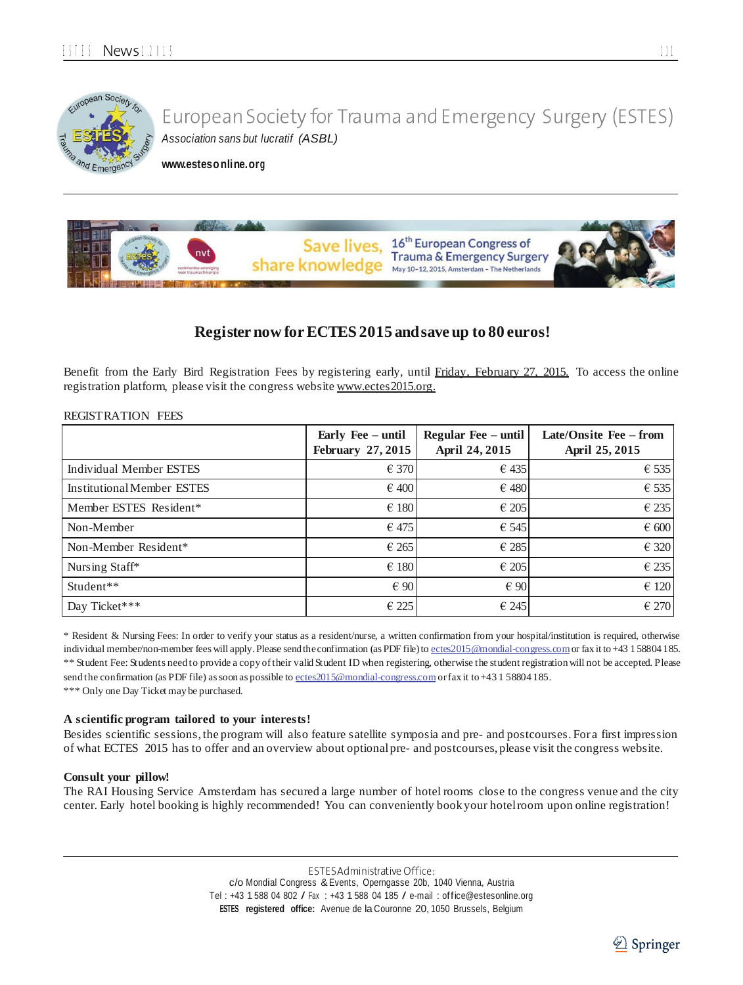

**[www.estesonline.org](http://www.estesonline.org/)**



### **Register now forECTES 2015 andsave up to 80 euros!**

Benefit from the Early Bird Registration Fees by registering early, until Friday, February 27, 2015. To access the online registration platform, please visit the congress websit[e www.ectes2015.org.](http://www.ectes2015.org/)

### REGISTRATION FEES

|                                   | Early Fee - until<br><b>February 27, 2015</b> | Regular Fee – until<br>April 24, 2015 | Late/Onsite Fee – from<br>April 25, 2015 |
|-----------------------------------|-----------------------------------------------|---------------------------------------|------------------------------------------|
| <b>Individual Member ESTES</b>    | $\epsilon$ 370                                | $\epsilon$ 435                        | $\epsilon$ 535                           |
| <b>Institutional Member ESTES</b> | $\epsilon$ 400                                | $\epsilon$ 480                        | $\epsilon$ 535                           |
| Member ESTES Resident*            | $\epsilon$ 180                                | $\epsilon$ 205                        | $\epsilon$ 235                           |
| Non-Member                        | $\epsilon$ 475                                | $\epsilon$ 545                        | $\epsilon$ 600                           |
| Non-Member Resident*              | $\epsilon$ 265                                | $\epsilon$ 285                        | € 320                                    |
| Nursing Staff*                    | $\epsilon$ 180                                | $\epsilon$ 205                        | $\in$ 235                                |
| Student**                         | $\epsilon$ 90                                 | $\epsilon$ 90                         | $\epsilon$ 120                           |
| Day Ticket***                     | $\in$ 225                                     | $\epsilon$ 245                        | $\epsilon$ 270                           |

\* Resident & Nursing Fees: In order to verify your status as a resident/nurse, a written confirmation from your hospital/institution is required, otherwise individual member/non-member fees will apply. Please send the confirmation (as PDF file) to ectes 2015 @mondial-congress.com or fax it to +43 1 58804 185. \*\* Student Fee: Students need to provide a copy oftheir valid Student ID when registering, otherwise the student registration will not be accepted. Please send the confirmation (as PDF file) as soon as possible t[o ectes2015@mondial-congress.com](mailto:ectes2015@mondial-congress.com) or fax it to +43 1 58804 185.

\*\*\* Only one Day Ticket may be purchased.

### **A scientific program tailored to your interests!**

Besides scientific sessions, the program will also feature satellite symposia and pre- and postcourses. For a first impression of what ECTES 2015 has to offer and an overview about optionalpre- and postcourses, please visit the congress website.

#### **Consult your pillow!**

The RAI Housing Service Amsterdam has secured a large number of hotel rooms close to the congress venue and the city center. Early hotel booking is highly recommended! You can conveniently bookyour hotelroom upon online registration!

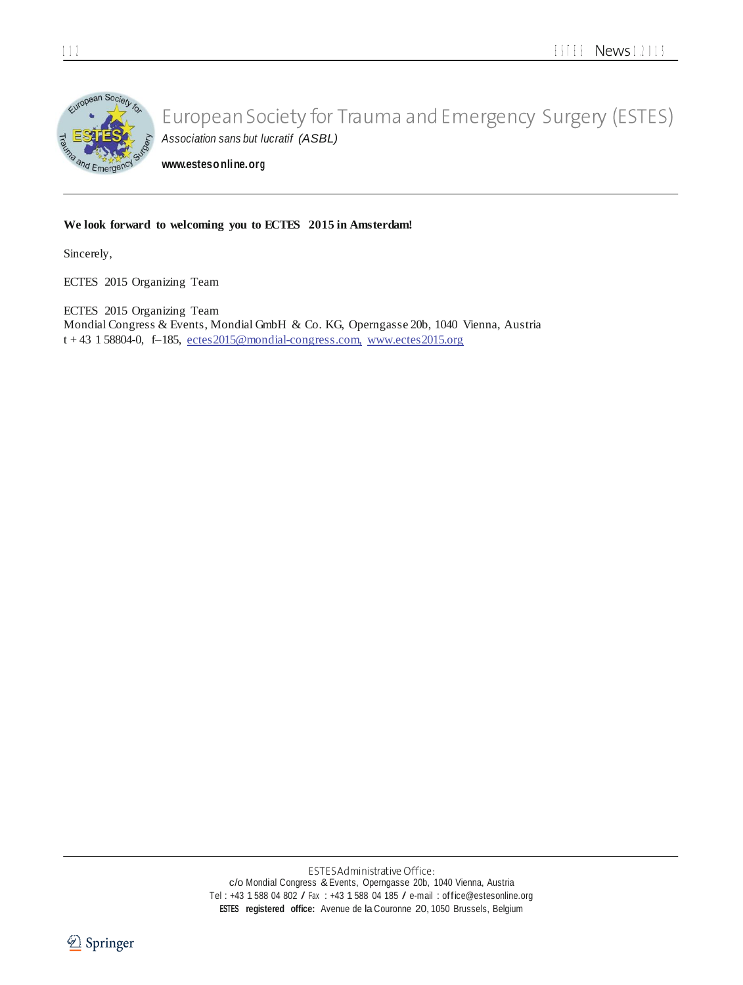

**[www.estesonline.org](http://www.estesonline.org/)**

### **We look forward to welcoming you to ECTES 2015 in Amsterdam!**

Sincerely,

ECTES 2015 Organizing Team

ECTES 2015 Organizing Team Mondial Congress & Events, Mondial GmbH & Co. KG, Operngasse 20b, 1040 Vienna, Austria  $t + 43$  1 58804-0, f-185, ectes 2015@mondial-congress.com, www.ectes 2015.org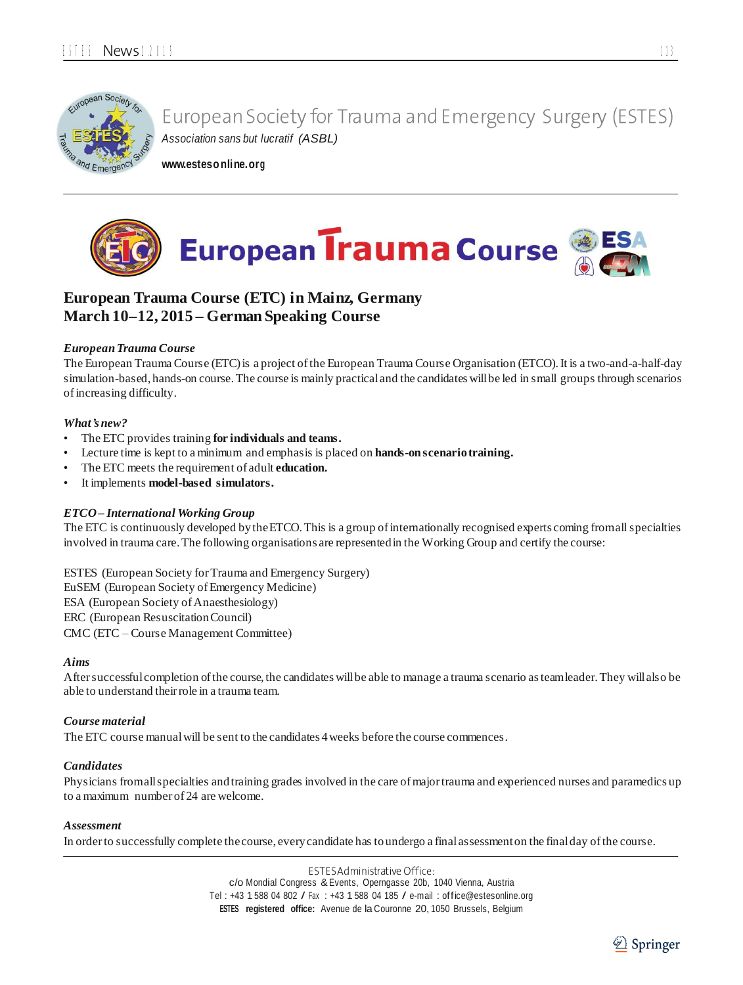

**[www.estesonline.org](http://www.estesonline.org/)**



### **European Trauma Course (ETC) in Mainz, Germany March 10–12, 2015 – German Speaking Course**

### *EuropeanTrauma Course*

The European Trauma Course (ETC) is a project of the European Trauma Course Organisation (ETCO). It is a two-and-a-half-day simulation-based, hands-on course.The course is mainly practicaland the candidates willbe led in small groups through scenarios ofincreasing difficulty.

### *What's new?*

- The ETC provides training **for individuals and teams.**
- Lecture time is kept to a minimum and emphasis is placed on **hands-onscenariotraining.**
- The ETC meets the requirement of adult **education.**
- It implements **model-based simulators.**

### *ETCO– International Working Group*

The ETC is continuously developed bytheETCO.This is a group ofinternationally recognised experts coming fromallspecialties involved in trauma care.The following organisations are representedin the Working Group and certify the course:

ESTES (European Society forTrauma and Emergency Surgery) EuSEM (European Society ofEmergency Medicine) ESA (European Society of Anaesthesiology) ERC (European ResuscitationCouncil) CMC (ETC – Course Management Committee)

### *Aims*

Aftersuccessfulcompletion ofthe course,the candidates willbe able to manage a trauma scenario asteamleader.They willalso be able to understand theirrole in a trauma team.

### *Course material*

The ETC course manual will be sent to the candidates 4 weeks before the course commences.

### *Candidates*

Physicians fromall specialties and training grades involved in the care of major trauma and experienced nurses and paramedics up to a maximum number of 24 are welcome.

### *Assessment*

In orderto successfully complete thecourse, everycandidate has toundergo a finalassessmenton the finalday ofthe course.

ESTES Administrative Office: c/o Mondial Congress &Events, Operngasse 20b, <sup>1040</sup> Vienna, Austria Tel : +43 1 <sup>588</sup> <sup>04</sup> <sup>802</sup> / Fax : +43 1 <sup>588</sup> <sup>04</sup> <sup>185</sup> / e-mail : [office@estesonline.org](mailto:office@estesonline.org) **ESTES registered office:** Avenue de la Couronne 20, 1050 Brussels, Belgium

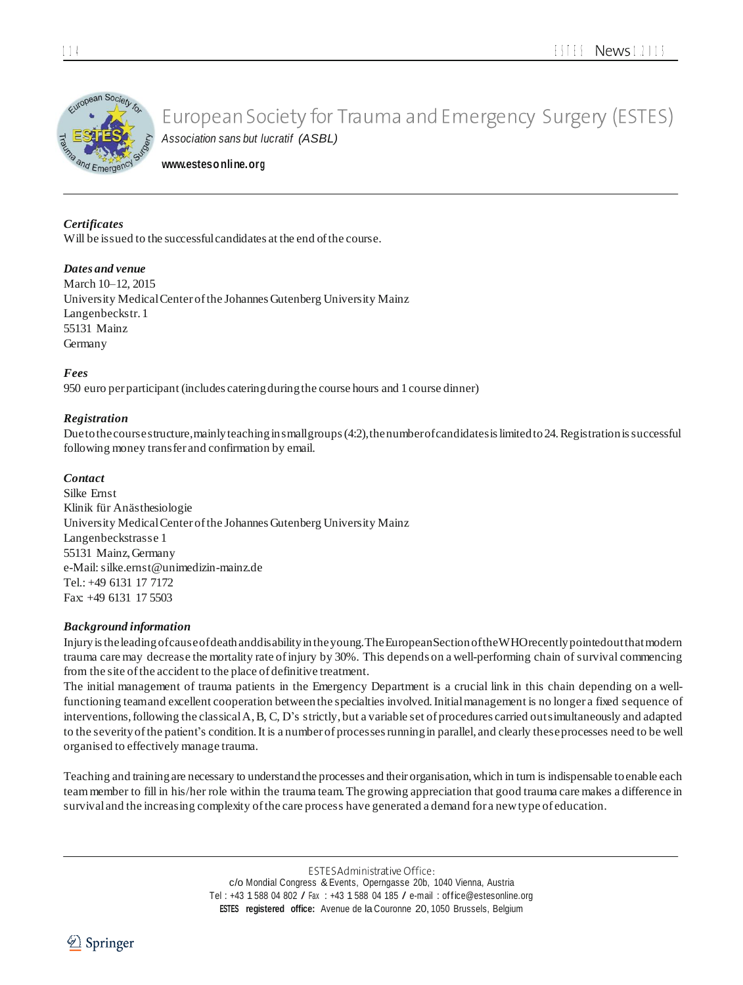

**[www.estesonline.org](http://www.estesonline.org/)**

### *Certificates*

Will be issued to the successful candidates at the end of the course.

### *Dates and venue*

March 10–12, 2015 University MedicalCenter ofthe Johannes Gutenberg University Mainz Langenbeckstr. 1 55131 Mainz Germany

*Fees*

950 euro per participant (includes cateringduringthe course hours and 1course dinner)

### *Registration*

Due to the course structure, mainly teaching in small groups (4:2), the number of candidates is limited to 24. Registration is successful following money transfer and confirmation by email.

### *Contact*

Silke Ernst Klinik für Anästhesiologie University MedicalCenter ofthe Johannes Gutenberg University Mainz Langenbeckstrasse 1 55131 Mainz,Germany e-Mail[:silke.ernst@unimedizin-mainz.de](mailto:silke.ernst@unimedizin-mainz.de) Tel.: +49 6131 17 7172 Fax: +49 6131 17 5503

### *Background information*

Injuryistheleadingofcauseofdeathanddisabilityintheyoung.TheEuropeanSectionoftheWHOrecentlypointedoutthatmodern trauma care may decrease the mortality rate ofinjury by 30%. This depends on a well-performing chain of survival commencing from the site of the accident to the place of definitive treatment.

The initial management of trauma patients in the Emergency Department is a crucial link in this chain depending on a wellfunctioning teamand excellent cooperation betweenthe specialties involved.Initialmanagement is no longer a fixed sequence of interventions,following the classicalA,B, C, D's strictly, but a variable set of procedures carried outsimultaneously and adapted to the severityofthe patient's condition.It is a number of processesrunningin parallel, and clearly theseprocesses need to be well organised to effectively manage trauma.

Teaching and trainingare necessary to understandthe processes and their organisation,which in turn is indispensable toenable each teammember to fill in his/her role within the trauma team.The growing appreciation that good trauma care makes a difference in survival and the increasing complexity of the care process have generated a demand for a new type of education.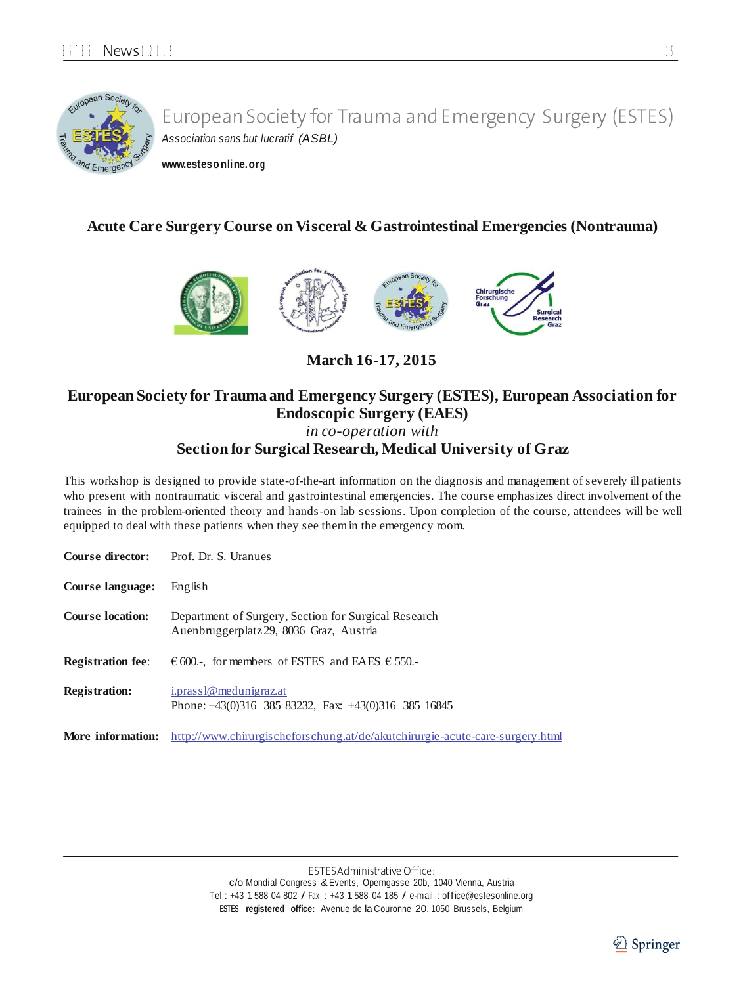

**[www.estesonline.org](http://www.estesonline.org/)**

### **Acute Care Surgery Course on Visceral & Gastrointestinal Emergencies (Nontrauma)**



**March 16-17, 2015**

## **European Society for Trauma and Emergency Surgery (ESTES), European Association for Endoscopic Surgery (EAES)**

*in co-operation with*

### **Section for Surgical Research, Medical University of Graz**

This workshop is designed to provide state-of-the-art information on the diagnosis and management of severely ill patients who present with nontraumatic visceral and gastrointestinal emergencies. The course emphasizes direct involvement of the trainees in the problem-oriented theory and hands-on lab sessions. Upon completion of the course, attendees will be well equipped to deal with these patients when they see themin the emergency room.

|                          | <b>Course director:</b> Prof. Dr. S. Uranues                                                    |
|--------------------------|-------------------------------------------------------------------------------------------------|
| <b>Course language:</b>  | English                                                                                         |
| <b>Course location:</b>  | Department of Surgery, Section for Surgical Research<br>Auenbruggerplatz 29, 8036 Graz, Austria |
| <b>Registration fee:</b> | $\epsilon$ 600.-, for members of ESTES and EAES $\epsilon$ 550.-                                |
| <b>Registration:</b>     | i.prass1@medunigraz.at<br>Phone: $+43(0)316$ 385 83232, Fax: $+43(0)316$ 385 16845              |
| More information:        | http://www.chirurgischeforschung.at/de/akutchirurgie-acute-care-surgery.html                    |